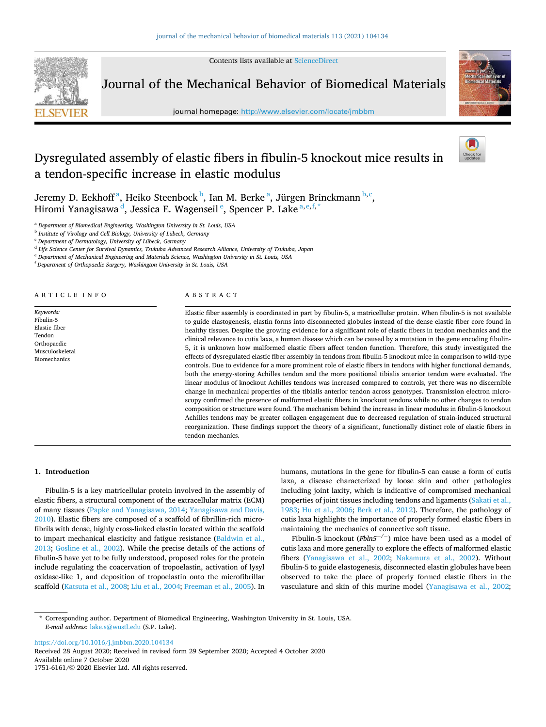Contents lists available at [ScienceDirect](www.sciencedirect.com/science/journal/17516161)



Journal of the Mechanical Behavior of Biomedical Materials

journal homepage: [http://www.elsevier.com/locate/jmbbm](https://http://www.elsevier.com/locate/jmbbm) 



# Dysregulated assembly of elastic fibers in fibulin-5 knockout mice results in a tendon-specific increase in elastic modulus

Jeremy D. Eekhoff<sup>a</sup>, Heiko Steenbock <sup>b</sup>, Ian M. Berke <sup>a</sup>, Jürgen Brinckmann <sup>b, c</sup>, Hiromi Yanagisawa <sup>d</sup>, Jessica E. Wagenseil <sup>e</sup>, Spencer P. Lake <sup>a,e,f,\*</sup>

<sup>a</sup> *Department of Biomedical Engineering, Washington University in St. Louis, USA* 

b *Institute of Virology and Cell Biology, University of Lübeck, Germany* 

<sup>c</sup> *Department of Dermatology, University of Lübeck, Germany* 

d *Life Science Center for Survival Dynamics, Tsukuba Advanced Research Alliance, University of Tsukuba, Japan* 

<sup>e</sup> *Department of Mechanical Engineering and Materials Science, Washington University in St. Louis, USA* 

<sup>f</sup> *Department of Orthopaedic Surgery, Washington University in St. Louis, USA* 

A R T I C L E I N F O

*Keywords:*  Fibulin-5 Elastic fiber Tendon Orthopaedic Musculoskeletal Biomechanics

#### ABSTRACT

Elastic fiber assembly is coordinated in part by fibulin-5, a matricellular protein. When fibulin-5 is not available to guide elastogenesis, elastin forms into disconnected globules instead of the dense elastic fiber core found in healthy tissues. Despite the growing evidence for a significant role of elastic fibers in tendon mechanics and the clinical relevance to cutis laxa, a human disease which can be caused by a mutation in the gene encoding fibulin-5, it is unknown how malformed elastic fibers affect tendon function. Therefore, this study investigated the effects of dysregulated elastic fiber assembly in tendons from fibulin-5 knockout mice in comparison to wild-type controls. Due to evidence for a more prominent role of elastic fibers in tendons with higher functional demands, both the energy-storing Achilles tendon and the more positional tibialis anterior tendon were evaluated. The linear modulus of knockout Achilles tendons was increased compared to controls, yet there was no discernible change in mechanical properties of the tibialis anterior tendon across genotypes. Transmission electron microscopy confirmed the presence of malformed elastic fibers in knockout tendons while no other changes to tendon composition or structure were found. The mechanism behind the increase in linear modulus in fibulin-5 knockout Achilles tendons may be greater collagen engagement due to decreased regulation of strain-induced structural reorganization. These findings support the theory of a significant, functionally distinct role of elastic fibers in tendon mechanics.

#### **1. Introduction**

Fibulin-5 is a key matricellular protein involved in the assembly of elastic fibers, a structural component of the extracellular matrix (ECM) of many tissues [\(Papke and Yanagisawa, 2014](#page-8-0); [Yanagisawa and Davis,](#page-9-0)  [2010\)](#page-9-0). Elastic fibers are composed of a scaffold of fibrillin-rich microfibrils with dense, highly cross-linked elastin located within the scaffold to impart mechanical elasticity and fatigue resistance [\(Baldwin et al.,](#page-8-0)  [2013;](#page-8-0) [Gosline et al., 2002\)](#page-8-0). While the precise details of the actions of fibulin-5 have yet to be fully understood, proposed roles for the protein include regulating the coacervation of tropoelastin, activation of lysyl oxidase-like 1, and deposition of tropoelastin onto the microfibrillar scaffold [\(Katsuta et al., 2008; Liu et al., 2004; Freeman et al., 2005](#page-8-0)). In humans, mutations in the gene for fibulin-5 can cause a form of cutis laxa, a disease characterized by loose skin and other pathologies including joint laxity, which is indicative of compromised mechanical properties of joint tissues including tendons and ligaments (Sakati et al., [1983;](#page-8-0) [Hu et al., 2006;](#page-8-0) [Berk et al., 2012\)](#page-8-0). Therefore, the pathology of cutis laxa highlights the importance of properly formed elastic fibers in maintaining the mechanics of connective soft tissue.

Fibulin-5 knockout (*Fbln5*−*/*<sup>−</sup> ) mice have been used as a model of cutis laxa and more generally to explore the effects of malformed elastic fibers [\(Yanagisawa et al., 2002;](#page-9-0) [Nakamura et al., 2002\)](#page-8-0). Without fibulin-5 to guide elastogenesis, disconnected elastin globules have been observed to take the place of properly formed elastic fibers in the vasculature and skin of this murine model [\(Yanagisawa et al., 2002](#page-9-0);

<https://doi.org/10.1016/j.jmbbm.2020.104134>

Available online 7 October 2020 1751-6161/© 2020 Elsevier Ltd. All rights reserved. Received 28 August 2020; Received in revised form 29 September 2020; Accepted 4 October 2020

<sup>\*</sup> Corresponding author. Department of Biomedical Engineering, Washington University in St. Louis, USA. *E-mail address:* [lake.s@wustl.edu](mailto:lake.s@wustl.edu) (S.P. Lake).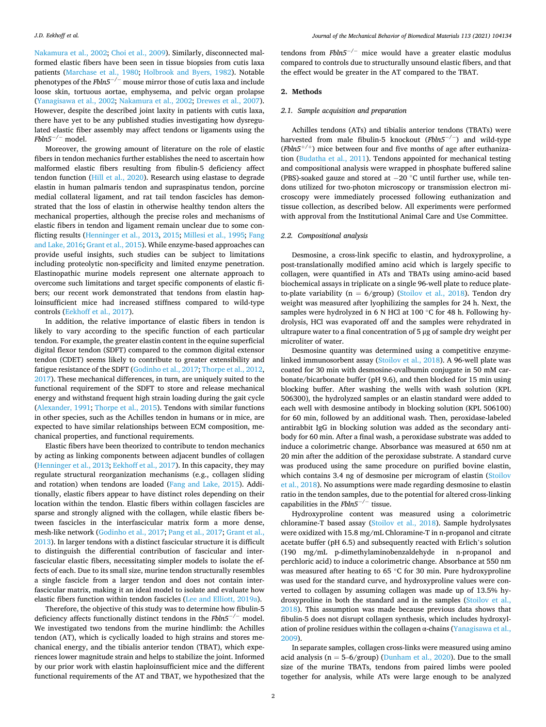[Nakamura et al., 2002; Choi et al., 2009](#page-8-0)). Similarly, disconnected malformed elastic fibers have been seen in tissue biopsies from cutis laxa patients ([Marchase et al., 1980](#page-8-0); [Holbrook and Byers, 1982\)](#page-8-0). Notable phenotypes of the *Fbln5*−*/*<sup>−</sup> mouse mirror those of cutis laxa and include loose skin, tortuous aortae, emphysema, and pelvic organ prolapse ([Yanagisawa et al., 2002](#page-9-0); [Nakamura et al., 2002;](#page-8-0) [Drewes et al., 2007](#page-8-0)). However, despite the described joint laxity in patients with cutis laxa, there have yet to be any published studies investigating how dysregulated elastic fiber assembly may affect tendons or ligaments using the *Fbln5*−*/*<sup>−</sup> model.

Moreover, the growing amount of literature on the role of elastic fibers in tendon mechanics further establishes the need to ascertain how malformed elastic fibers resulting from fibulin-5 deficiency affect tendon function ([Hill et al., 2020\)](#page-8-0). Research using elastase to degrade elastin in human palmaris tendon and supraspinatus tendon, porcine medial collateral ligament, and rat tail tendon fascicles has demonstrated that the loss of elastin in otherwise healthy tendon alters the mechanical properties, although the precise roles and mechanisms of elastic fibers in tendon and ligament remain unclear due to some conflicting results [\(Henninger et al., 2013](#page-8-0), [2015;](#page-8-0) [Millesi et al., 1995;](#page-8-0) [Fang](#page-8-0)  [and Lake, 2016; Grant et al., 2015\)](#page-8-0). While enzyme-based approaches can provide useful insights, such studies can be subject to limitations including proteolytic non-specificity and limited enzyme penetration. Elastinopathic murine models represent one alternate approach to overcome such limitations and target specific components of elastic fibers; our recent work demonstrated that tendons from elastin haploinsufficient mice had increased stiffness compared to wild-type controls [\(Eekhoff et al., 2017\)](#page-8-0).

In addition, the relative importance of elastic fibers in tendon is likely to vary according to the specific function of each particular tendon. For example, the greater elastin content in the equine superficial digital flexor tendon (SDFT) compared to the common digital extensor tendon (CDET) seems likely to contribute to greater extensibility and fatigue resistance of the SDFT [\(Godinho et al., 2017;](#page-8-0) [Thorpe et al., 2012](#page-9-0), [2017\)](#page-9-0). These mechanical differences, in turn, are uniquely suited to the functional requirement of the SDFT to store and release mechanical energy and withstand frequent high strain loading during the gait cycle ([Alexander, 1991;](#page-8-0) [Thorpe et al., 2015](#page-9-0)). Tendons with similar functions in other species, such as the Achilles tendon in humans or in mice, are expected to have similar relationships between ECM composition, mechanical properties, and functional requirements.

Elastic fibers have been theorized to contribute to tendon mechanics by acting as linking components between adjacent bundles of collagen ([Henninger et al., 2013; Eekhoff et al., 2017\)](#page-8-0). In this capacity, they may regulate structural reorganization mechanisms (e.g., collagen sliding and rotation) when tendons are loaded [\(Fang and Lake, 2015](#page-8-0)). Additionally, elastic fibers appear to have distinct roles depending on their location within the tendon. Elastic fibers within collagen fascicles are sparse and strongly aligned with the collagen, while elastic fibers between fascicles in the interfascicular matrix form a more dense, mesh-like network ([Godinho et al., 2017; Pang et al., 2017; Grant et al.,](#page-8-0)  [2013\)](#page-8-0). In larger tendons with a distinct fascicular structure it is difficult to distinguish the differential contribution of fascicular and interfascicular elastic fibers, necessitating simpler models to isolate the effects of each. Due to its small size, murine tendon structurally resembles a single fascicle from a larger tendon and does not contain interfascicular matrix, making it an ideal model to isolate and evaluate how elastic fibers function within tendon fascicles ([Lee and Elliott, 2019a\)](#page-8-0).

Therefore, the objective of this study was to determine how fibulin-5 deficiency affects functionally distinct tendons in the *Fbln5*−*/*<sup>−</sup> model. We investigated two tendons from the murine hindlimb: the Achilles tendon (AT), which is cyclically loaded to high strains and stores mechanical energy, and the tibialis anterior tendon (TBAT), which experiences lower magnitude strain and helps to stabilize the joint. Informed by our prior work with elastin haploinsufficient mice and the different functional requirements of the AT and TBAT, we hypothesized that the

tendons from *Fbln5*−*/*<sup>−</sup> mice would have a greater elastic modulus compared to controls due to structurally unsound elastic fibers, and that the effect would be greater in the AT compared to the TBAT.

#### **2. Methods**

#### *2.1. Sample acquisition and preparation*

Achilles tendons (ATs) and tibialis anterior tendons (TBATs) were harvested from male fibulin-5 knockout (*Fbln5*−*/*<sup>−</sup> ) and wild-type (*Fbln5*+*/*<sup>+</sup> ) mice between four and five months of age after euthanization [\(Budatha et al., 2011\)](#page-8-0). Tendons appointed for mechanical testing and compositional analysis were wrapped in phosphate buffered saline (PBS)-soaked gauze and stored at −20 ◦C until further use, while tendons utilized for two-photon microscopy or transmission electron microscopy were immediately processed following euthanization and tissue collection, as described below. All experiments were performed with approval from the Institutional Animal Care and Use Committee.

# *2.2. Compositional analysis*

Desmosine, a cross-link specific to elastin, and hydroxyproline, a post-translationally modified amino acid which is largely specific to collagen, were quantified in ATs and TBATs using amino-acid based biochemical assays in triplicate on a single 96-well plate to reduce plateto-plate variability ( $n = 6$ /group) [\(Stoilov et al., 2018\)](#page-8-0). Tendon dry weight was measured after lyophilizing the samples for 24 h. Next, the samples were hydrolyzed in 6 N HCl at 100 ◦C for 48 h. Following hydrolysis, HCl was evaporated off and the samples were rehydrated in ultrapure water to a final concentration of 5 μg of sample dry weight per microliter of water.

Desmosine quantity was determined using a competitive enzymelinked immunosorbent assay ([Stoilov et al., 2018](#page-8-0)). A 96-well plate was coated for 30 min with desmosine-ovalbumin conjugate in 50 mM carbonate/bicarbonate buffer (pH 9.6), and then blocked for 15 min using blocking buffer. After washing the wells with wash solution (KPL 506300), the hydrolyzed samples or an elastin standard were added to each well with desmosine antibody in blocking solution (KPL 506100) for 60 min, followed by an additional wash. Then, peroxidase-labeled antirabbit IgG in blocking solution was added as the secondary antibody for 60 min. After a final wash, a peroxidase substrate was added to induce a colorimetric change. Absorbance was measured at 650 nm at 20 min after the addition of the peroxidase substrate. A standard curve was produced using the same procedure on purified bovine elastin, which contains 3.4 ng of desmosine per microgram of elastin (Stoilov [et al., 2018\)](#page-8-0). No assumptions were made regarding desmosine to elastin ratio in the tendon samples, due to the potential for altered cross-linking capabilities in the *Fbln5*−*/*<sup>−</sup> tissue.

Hydroxyproline content was measured using a colorimetric chloramine-T based assay ([Stoilov et al., 2018\)](#page-8-0). Sample hydrolysates were oxidized with 15.8 mg/mL Chloramine-T in n-propanol and citrate acetate buffer (pH 6.5) and subsequently reacted with Erlich's solution (190 mg/mL p-dimethylaminobenzaldehyde in n-propanol and perchloric acid) to induce a colorimetric change. Absorbance at 550 nm was measured after heating to 65 ℃ for 30 min. Pure hydroxyproline was used for the standard curve, and hydroxyproline values were converted to collagen by assuming collagen was made up of 13.5% hydroxyproline in both the standard and in the samples ([Stoilov et al.,](#page-8-0)  [2018\)](#page-8-0). This assumption was made because previous data shows that fibulin-5 does not disrupt collagen synthesis, which includes hydroxylation of proline residues within the collagen α-chains ([Yanagisawa et al.,](#page-9-0)  [2009\)](#page-9-0).

In separate samples, collagen cross-links were measured using amino acid analysis ( $n = 5-6/$ group) ([Dunham et al., 2020\)](#page-8-0). Due to the small size of the murine TBATs, tendons from paired limbs were pooled together for analysis, while ATs were large enough to be analyzed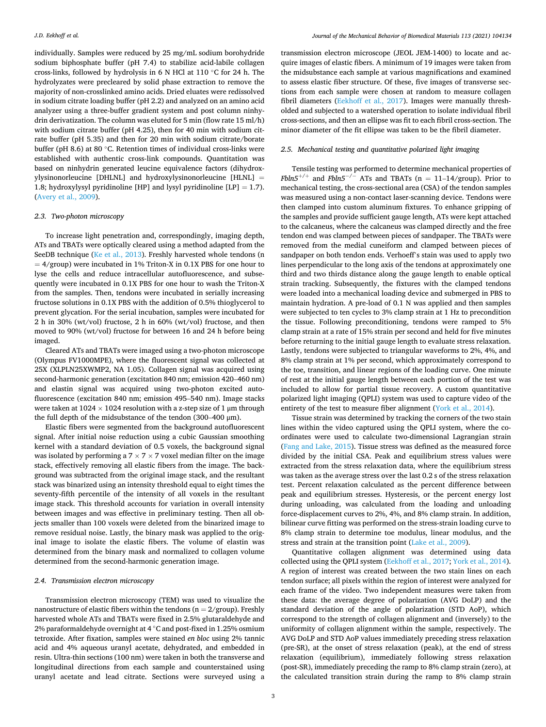individually. Samples were reduced by 25 mg/mL sodium borohydride sodium biphosphate buffer (pH 7.4) to stabilize acid-labile collagen cross-links, followed by hydrolysis in 6 N HCl at 110 ◦C for 24 h. The hydrolyzates were precleared by solid phase extraction to remove the majority of non-crosslinked amino acids. Dried eluates were redissolved in sodium citrate loading buffer (pH 2.2) and analyzed on an amino acid analyzer using a three-buffer gradient system and post column ninhydrin derivatization. The column was eluted for 5 min (flow rate 15 ml/h) with sodium citrate buffer (pH 4.25), then for 40 min with sodium citrate buffer (pH 5.35) and then for 20 min with sodium citrate/borate buffer (pH 8.6) at 80 ◦C. Retention times of individual cross-links were established with authentic cross-link compounds. Quantitation was based on ninhydrin generated leucine equivalence factors (dihydroxylysinonorleucine [DHLNL] and hydroxylysinonorleucine [HLNL] = 1.8; hydroxylysyl pyridinoline [HP] and lysyl pyridinoline [LP] = 1.7). ([Avery et al., 2009](#page-8-0)).

## *2.3. Two-photon microscopy*

To increase light penetration and, correspondingly, imaging depth, ATs and TBATs were optically cleared using a method adapted from the SeeDB technique ([Ke et al., 2013\)](#page-8-0). Freshly harvested whole tendons (n  $= 4$ /group) were incubated in 1% Triton-X in 0.1X PBS for one hour to lyse the cells and reduce intracellular autofluorescence, and subsequently were incubated in 0.1X PBS for one hour to wash the Triton-X from the samples. Then, tendons were incubated in serially increasing fructose solutions in 0.1X PBS with the addition of 0.5% thioglycerol to prevent glycation. For the serial incubation, samples were incubated for 2 h in 30% (wt/vol) fructose, 2 h in 60% (wt/vol) fructose, and then moved to 90% (wt/vol) fructose for between 16 and 24 h before being imaged.

Cleared ATs and TBATs were imaged using a two-photon microscope (Olympus FV1000MPE), where the fluorescent signal was collected at 25X (XLPLN25XWMP2, NA 1.05). Collagen signal was acquired using second-harmonic generation (excitation 840 nm; emission 420–460 nm) and elastin signal was acquired using two-photon excited autofluorescence (excitation 840 nm; emission 495–540 nm). Image stacks were taken at  $1024 \times 1024$  resolution with a z-step size of 1  $\mu$ m through the full depth of the midsubstance of the tendon (300–400 μm).

Elastic fibers were segmented from the background autofluorescent signal. After initial noise reduction using a cubic Gaussian smoothing kernel with a standard deviation of 0.5 voxels, the background signal was isolated by performing a  $7 \times 7 \times 7$  voxel median filter on the image stack, effectively removing all elastic fibers from the image. The background was subtracted from the original image stack, and the resultant stack was binarized using an intensity threshold equal to eight times the seventy-fifth percentile of the intensity of all voxels in the resultant image stack. This threshold accounts for variation in overall intensity between images and was effective in preliminary testing. Then all objects smaller than 100 voxels were deleted from the binarized image to remove residual noise. Lastly, the binary mask was applied to the original image to isolate the elastic fibers. The volume of elastin was determined from the binary mask and normalized to collagen volume determined from the second-harmonic generation image.

### *2.4. Transmission electron microscopy*

Transmission electron microscopy (TEM) was used to visualize the nanostructure of elastic fibers within the tendons ( $n = 2/$ group). Freshly harvested whole ATs and TBATs were fixed in 2.5% glutaraldehyde and 2% paraformaldehyde overnight at 4 ◦C and post-fixed in 1.25% osmium tetroxide. After fixation, samples were stained *en bloc* using 2% tannic acid and 4% aqueous uranyl acetate, dehydrated, and embedded in resin. Ultra-thin sections (100 nm) were taken in both the transverse and longitudinal directions from each sample and counterstained using uranyl acetate and lead citrate. Sections were surveyed using a

transmission electron microscope (JEOL JEM-1400) to locate and acquire images of elastic fibers. A minimum of 19 images were taken from the midsubstance each sample at various magnifications and examined to assess elastic fiber structure. Of these, five images of transverse sections from each sample were chosen at random to measure collagen fibril diameters ([Eekhoff et al., 2017](#page-8-0)). Images were manually thresholded and subjected to a watershed operation to isolate individual fibril cross-sections, and then an ellipse was fit to each fibril cross-section. The minor diameter of the fit ellipse was taken to be the fibril diameter.

#### *2.5. Mechanical testing and quantitative polarized light imaging*

Tensile testing was performed to determine mechanical properties of *Fbln5*<sup>+/+</sup> and *Fbln5<sup>-/-</sup>* ATs and TBATs (n = 11-14/group). Prior to mechanical testing, the cross-sectional area (CSA) of the tendon samples was measured using a non-contact laser-scanning device. Tendons were then clamped into custom aluminum fixtures. To enhance gripping of the samples and provide sufficient gauge length, ATs were kept attached to the calcaneus, where the calcaneus was clamped directly and the free tendon end was clamped between pieces of sandpaper. The TBATs were removed from the medial cuneiform and clamped between pieces of sandpaper on both tendon ends. Verhoeff's stain was used to apply two lines perpendicular to the long axis of the tendons at approximately one third and two thirds distance along the gauge length to enable optical strain tracking. Subsequently, the fixtures with the clamped tendons were loaded into a mechanical loading device and submerged in PBS to maintain hydration. A pre-load of 0.1 N was applied and then samples were subjected to ten cycles to 3% clamp strain at 1 Hz to precondition the tissue. Following preconditioning, tendons were ramped to 5% clamp strain at a rate of 15% strain per second and held for five minutes before returning to the initial gauge length to evaluate stress relaxation. Lastly, tendons were subjected to triangular waveforms to 2%, 4%, and 8% clamp strain at 1% per second, which approximately correspond to the toe, transition, and linear regions of the loading curve. One minute of rest at the initial gauge length between each portion of the test was included to allow for partial tissue recovery. A custom quantitative polarized light imaging (QPLI) system was used to capture video of the entirety of the test to measure fiber alignment [\(York et al., 2014\)](#page-9-0).

Tissue strain was determined by tracking the corners of the two stain lines within the video captured using the QPLI system, where the coordinates were used to calculate two-dimensional Lagrangian strain ([Fang and Lake, 2015](#page-8-0)). Tissue stress was defined as the measured force divided by the initial CSA. Peak and equilibrium stress values were extracted from the stress relaxation data, where the equilibrium stress was taken as the average stress over the last 0.2 s of the stress relaxation test. Percent relaxation calculated as the percent difference between peak and equilibrium stresses. Hysteresis, or the percent energy lost during unloading, was calculated from the loading and unloading force-displacement curves to 2%, 4%, and 8% clamp strain. In addition, bilinear curve fitting was performed on the stress-strain loading curve to 8% clamp strain to determine toe modulus, linear modulus, and the stress and strain at the transition point ([Lake et al., 2009](#page-8-0)).

Quantitative collagen alignment was determined using data collected using the QPLI system [\(Eekhoff et al., 2017](#page-8-0); [York et al., 2014](#page-9-0)). A region of interest was created between the two stain lines on each tendon surface; all pixels within the region of interest were analyzed for each frame of the video. Two independent measures were taken from these data: the average degree of polarization (AVG DoLP) and the standard deviation of the angle of polarization (STD AoP), which correspond to the strength of collagen alignment and (inversely) to the uniformity of collagen alignment within the sample, respectively. The AVG DoLP and STD AoP values immediately preceding stress relaxation (pre-SR), at the onset of stress relaxation (peak), at the end of stress relaxation (equilibrium), immediately following stress relaxation (post-SR), immediately preceding the ramp to 8% clamp strain (zero), at the calculated transition strain during the ramp to 8% clamp strain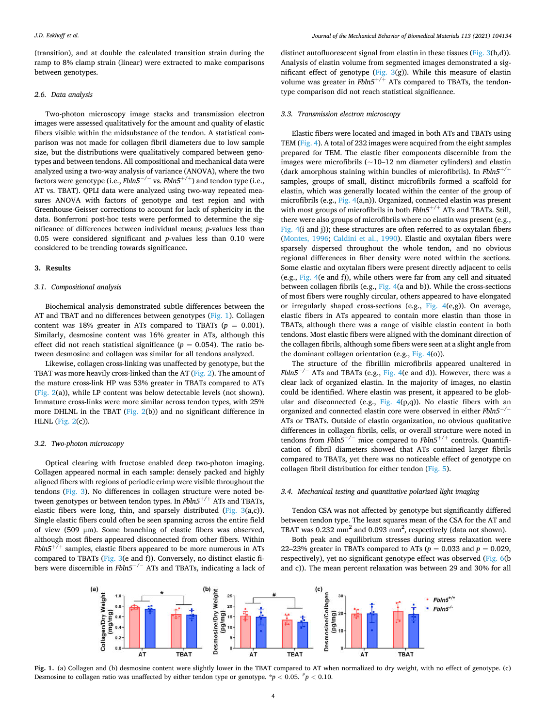<span id="page-3-0"></span>(transition), and at double the calculated transition strain during the ramp to 8% clamp strain (linear) were extracted to make comparisons between genotypes.

## *2.6. Data analysis*

Two-photon microscopy image stacks and transmission electron images were assessed qualitatively for the amount and quality of elastic fibers visible within the midsubstance of the tendon. A statistical comparison was not made for collagen fibril diameters due to low sample size, but the distributions were qualitatively compared between genotypes and between tendons. All compositional and mechanical data were analyzed using a two-way analysis of variance (ANOVA), where the two factors were genotype (i.e., *Fbln5*−*/*<sup>−</sup> vs. *Fbln5*+*/*<sup>+</sup> ) and tendon type (i.e., AT vs. TBAT). QPLI data were analyzed using two-way repeated measures ANOVA with factors of genotype and test region and with Greenhouse-Geisser corrections to account for lack of sphericity in the data. Bonferroni post-hoc tests were performed to determine the significance of differences between individual means; *p*-values less than 0.05 were considered significant and *p*-values less than 0.10 were considered to be trending towards significance.

#### **3. Results**

# *3.1. Compositional analysis*

Biochemical analysis demonstrated subtle differences between the AT and TBAT and no differences between genotypes (Fig. 1). Collagen content was 18% greater in ATs compared to TBATs ( $p = 0.001$ ). Similarly, desmosine content was 16% greater in ATs, although this effect did not reach statistical significance ( $p = 0.054$ ). The ratio between desmosine and collagen was similar for all tendons analyzed.

Likewise, collagen cross-linking was unaffected by genotype, but the TBAT was more heavily cross-linked than the AT [\(Fig. 2\)](#page-4-0). The amount of the mature cross-link HP was 53% greater in TBATs compared to ATs ([Fig. 2\(](#page-4-0)a)), while LP content was below detectable levels (not shown). Immature cross-links were more similar across tendon types, with 25% more DHLNL in the TBAT [\(Fig. 2\(](#page-4-0)b)) and no significant difference in HLNL [\(Fig. 2](#page-4-0)(c)).

# *3.2. Two-photon microscopy*

Optical clearing with fructose enabled deep two-photon imaging. Collagen appeared normal in each sample: densely packed and highly aligned fibers with regions of periodic crimp were visible throughout the tendons ([Fig. 3\)](#page-4-0). No differences in collagen structure were noted between genotypes or between tendon types. In *Fbln5*+*/*<sup>+</sup> ATs and TBATs, elastic fibers were long, thin, and sparsely distributed ([Fig. 3](#page-4-0)(a,c)). Single elastic fibers could often be seen spanning across the entire field of view (509 μm). Some branching of elastic fibers was observed, although most fibers appeared disconnected from other fibers. Within *Fbln5*+*/*<sup>+</sup> samples, elastic fibers appeared to be more numerous in ATs compared to TBATs [\(Fig. 3\(](#page-4-0)e and f)). Conversely, no distinct elastic fibers were discernible in *Fbln5*−*/*<sup>−</sup> ATs and TBATs, indicating a lack of

distinct autofluorescent signal from elastin in these tissues ([Fig. 3](#page-4-0)(b,d)). Analysis of elastin volume from segmented images demonstrated a significant effect of genotype ([Fig. 3\(](#page-4-0)g)). While this measure of elastin volume was greater in *Fbln5*+*/*<sup>+</sup> ATs compared to TBATs, the tendontype comparison did not reach statistical significance.

#### *3.3. Transmission electron microscopy*

Elastic fibers were located and imaged in both ATs and TBATs using TEM ([Fig. 4\)](#page-5-0). A total of 232 images were acquired from the eight samples prepared for TEM. The elastic fiber components discernible from the images were microfibrils  $(-10-12 \text{ nm}$  diameter cylinders) and elastin (dark amorphous staining within bundles of microfibrils). In *Fbln5*+*/*<sup>+</sup> samples, groups of small, distinct microfibrils formed a scaffold for elastin, which was generally located within the center of the group of microfibrils (e.g., [Fig. 4\(](#page-5-0)a,n)). Organized, connected elastin was present with most groups of microfibrils in both *Fbln5*+*/*<sup>+</sup> ATs and TBATs. Still, there were also groups of microfibrils where no elastin was present (e.g., [Fig. 4\(](#page-5-0)i and j)); these structures are often referred to as oxytalan fibers ([Montes, 1996](#page-8-0); [Caldini et al., 1990\)](#page-8-0). Elastic and oxytalan fibers were sparsely dispersed throughout the whole tendon, and no obvious regional differences in fiber density were noted within the sections. Some elastic and oxytalan fibers were present directly adjacent to cells (e.g., [Fig. 4](#page-5-0)(e and f)), while others were far from any cell and situated between collagen fibrils (e.g., [Fig. 4](#page-5-0)(a and b)). While the cross-sections of most fibers were roughly circular, others appeared to have elongated or irregularly shaped cross-sections (e.g., Fig.  $4(e,g)$ ). On average, elastic fibers in ATs appeared to contain more elastin than those in TBATs, although there was a range of visible elastin content in both tendons. Most elastic fibers were aligned with the dominant direction of the collagen fibrils, although some fibers were seen at a slight angle from the dominant collagen orientation (e.g., [Fig. 4\(](#page-5-0)o)).

The structure of the fibrillin microfibrils appeared unaltered in *Fbln5<sup>−/−</sup>* ATs and TBATs (e.g., [Fig. 4\(](#page-5-0)c and d)). However, there was a clear lack of organized elastin. In the majority of images, no elastin could be identified. Where elastin was present, it appeared to be globular and disconnected (e.g., Fig.  $4(p,q)$ ). No elastic fibers with an organized and connected elastin core were observed in either *Fbln5*−*/*<sup>−</sup> ATs or TBATs. Outside of elastin organization, no obvious qualitative differences in collagen fibrils, cells, or overall structure were noted in tendons from *Fbln5*−*/*<sup>−</sup> mice compared to *Fbln5*+*/*<sup>+</sup> controls. Quantification of fibril diameters showed that ATs contained larger fibrils compared to TBATs, yet there was no noticeable effect of genotype on collagen fibril distribution for either tendon [\(Fig. 5](#page-5-0)).

## *3.4. Mechanical testing and quantitative polarized light imaging*

Tendon CSA was not affected by genotype but significantly differed between tendon type. The least squares mean of the CSA for the AT and TBAT was  $0.232 \text{ mm}^2$  and  $0.093 \text{ mm}^2$ , respectively (data not shown).

Both peak and equilibrium stresses during stress relaxation were 22–23% greater in TBATs compared to ATs ( $p = 0.033$  and  $p = 0.029$ , respectively), yet no significant genotype effect was observed [\(Fig. 6](#page-6-0)(b and c)). The mean percent relaxation was between 29 and 30% for all



**Fig. 1.** (a) Collagen and (b) desmosine content were slightly lower in the TBAT compared to AT when normalized to dry weight, with no effect of genotype. (c) Desmosine to collagen ratio was unaffected by either tendon type or genotype.  $^{*}p < 0.05$ .  $^{*}p < 0.10$ .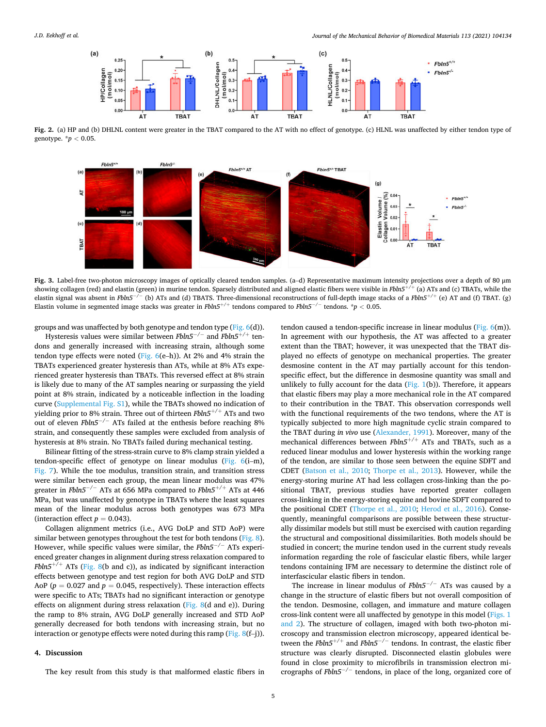<span id="page-4-0"></span>

**Fig. 2.** (a) HP and (b) DHLNL content were greater in the TBAT compared to the AT with no effect of genotype. (c) HLNL was unaffected by either tendon type of genotype. \**p <* 0.05.



**Fig. 3.** Label-free two-photon microscopy images of optically cleared tendon samples. (a–d) Representative maximum intensity projections over a depth of 80 μm showing collagen (red) and elastin (green) in murine tendon. Sparsely distributed and aligned elastic fibers were visible in *Fbln5*+*/*<sup>+</sup> (a) ATs and (c) TBATs, while the elastin signal was absent in *Fbln5*−*/*<sup>−</sup> (b) ATs and (d) TBATS. Three-dimensional reconstructions of full-depth image stacks of a *Fbln5*+*/*<sup>+</sup> (e) AT and (f) TBAT. (g) Elastin volume in segmented image stacks was greater in *Fbln5*+*/*<sup>+</sup> tendons compared to *Fbln5*−*/*<sup>−</sup> tendons. \**p <* 0.05.

groups and was unaffected by both genotype and tendon type ([Fig. 6\(](#page-6-0)d)).

Hysteresis values were similar between *Fbln5*−*/*<sup>−</sup> and *Fbln5*+*/*<sup>+</sup> tendons and generally increased with increasing strain, although some tendon type effects were noted (Fig.  $6(e-h)$ ). At 2% and 4% strain the TBATs experienced greater hysteresis than ATs, while at 8% ATs experienced greater hysteresis than TBATs. This reversed effect at 8% strain is likely due to many of the AT samples nearing or surpassing the yield point at 8% strain, indicated by a noticeable inflection in the loading curve (Supplemental Fig. S1), while the TBATs showed no indication of yielding prior to 8% strain. Three out of thirteen *Fbln5*+*/*<sup>+</sup> ATs and two out of eleven *Fbln5*−*/*<sup>−</sup> ATs failed at the enthesis before reaching 8% strain, and consequently these samples were excluded from analysis of hysteresis at 8% strain. No TBATs failed during mechanical testing.

Bilinear fitting of the stress-strain curve to 8% clamp strain yielded a tendon-specific effect of genotype on linear modulus ([Fig. 6](#page-6-0)(i–m), [Fig. 7](#page-6-0)). While the toe modulus, transition strain, and transition stress were similar between each group, the mean linear modulus was 47% greater in *Fbln5*−*/*<sup>−</sup> ATs at 656 MPa compared to *Fbln5*+*/*<sup>+</sup> ATs at 446 MPa, but was unaffected by genotype in TBATs where the least squares mean of the linear modulus across both genotypes was 673 MPa (interaction effect  $p = 0.043$ ).

Collagen alignment metrics (i.e., AVG DoLP and STD AoP) were similar between genotypes throughout the test for both tendons ([Fig. 8](#page-7-0)). However, while specific values were similar, the *Fbln5*−*/*<sup>−</sup> ATs experienced greater changes in alignment during stress relaxation compared to *Fbln5*<sup>+/+</sup> ATs ([Fig. 8\(](#page-7-0)b and c)), as indicated by significant interaction effects between genotype and test region for both AVG DoLP and STD AoP ( $p = 0.027$  and  $p = 0.045$ , respectively). These interaction effects were specific to ATs; TBATs had no significant interaction or genotype effects on alignment during stress relaxation ([Fig. 8](#page-7-0)(d and e)). During the ramp to 8% strain, AVG DoLP generally increased and STD AoP generally decreased for both tendons with increasing strain, but no interaction or genotype effects were noted during this ramp (Fig.  $8(f-j)$ ).

# **4. Discussion**

The key result from this study is that malformed elastic fibers in

tendon caused a tendon-specific increase in linear modulus ([Fig. 6\(](#page-6-0)m)). In agreement with our hypothesis, the AT was affected to a greater extent than the TBAT; however, it was unexpected that the TBAT displayed no effects of genotype on mechanical properties. The greater desmosine content in the AT may partially account for this tendonspecific effect, but the difference in desmosine quantity was small and unlikely to fully account for the data ([Fig. 1](#page-3-0)(b)). Therefore, it appears that elastic fibers may play a more mechanical role in the AT compared to their contribution in the TBAT. This observation corresponds well with the functional requirements of the two tendons, where the AT is typically subjected to more high magnitude cyclic strain compared to the TBAT during *in vivo* use [\(Alexander, 1991\)](#page-8-0). Moreover, many of the mechanical differences between *Fbln5*+*/*<sup>+</sup> ATs and TBATs, such as a reduced linear modulus and lower hysteresis within the working range of the tendon, are similar to those seen between the equine SDFT and CDET ([Batson et al., 2010;](#page-8-0) [Thorpe et al., 2013\)](#page-9-0). However, while the energy-storing murine AT had less collagen cross-linking than the positional TBAT, previous studies have reported greater collagen cross-linking in the energy-storing equine and bovine SDFT compared to the positional CDET ([Thorpe et al., 2010](#page-9-0); [Herod et al., 2016\)](#page-8-0). Consequently, meaningful comparisons are possible between these structurally dissimilar models but still must be exercised with caution regarding the structural and compositional dissimilarities. Both models should be studied in concert; the murine tendon used in the current study reveals information regarding the role of fascicular elastic fibers, while larger tendons containing IFM are necessary to determine the distinct role of interfascicular elastic fibers in tendon.

The increase in linear modulus of *Fbln5*−*/*<sup>−</sup> ATs was caused by a change in the structure of elastic fibers but not overall composition of the tendon. Desmosine, collagen, and immature and mature collagen cross-link content were all unaffected by genotype in this model ([Figs. 1](#page-3-0)  [and 2\)](#page-3-0). The structure of collagen, imaged with both two-photon microscopy and transmission electron microscopy, appeared identical between the *Fbln5*+*/*<sup>+</sup> and *Fbln5*−*/*<sup>−</sup> tendons. In contrast, the elastic fiber structure was clearly disrupted. Disconnected elastin globules were found in close proximity to microfibrils in transmission electron micrographs of *Fbln5*−*/*<sup>−</sup> tendons, in place of the long, organized core of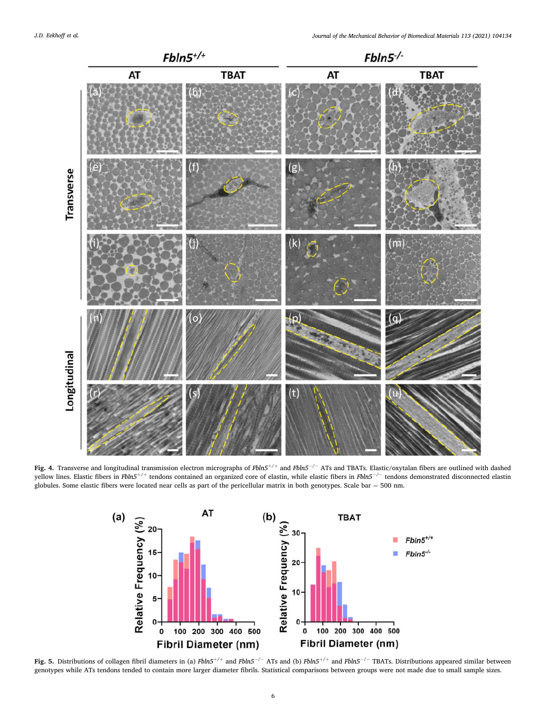<span id="page-5-0"></span>

**Fig. 4.** Transverse and longitudinal transmission electron micrographs of *Fbln5*+*/*<sup>+</sup> and *Fbln5*−*/*<sup>−</sup> ATs and TBATs. Elastic/oxytalan fibers are outlined with dashed yellow lines. Elastic fibers in *Fbln5*+*/*<sup>+</sup> tendons contained an organized core of elastin, while elastic fibers in *Fbln5*−*/*<sup>−</sup> tendons demonstrated disconnected elastin globules. Some elastic fibers were located near cells as part of the pericellular matrix in both genotypes. Scale bar  $= 500$  nm.



**Fig. 5.** Distributions of collagen fibril diameters in (a) *Fbln5*+*/*<sup>+</sup> and *Fbln5*−*/*<sup>−</sup> ATs and (b) *Fbln5*+*/*<sup>+</sup> and *Fbln5*−*/*<sup>−</sup> TBATs. Distributions appeared similar between genotypes while ATs tendons tended to contain more larger diameter fibrils. Statistical comparisons between groups were not made due to small sample sizes.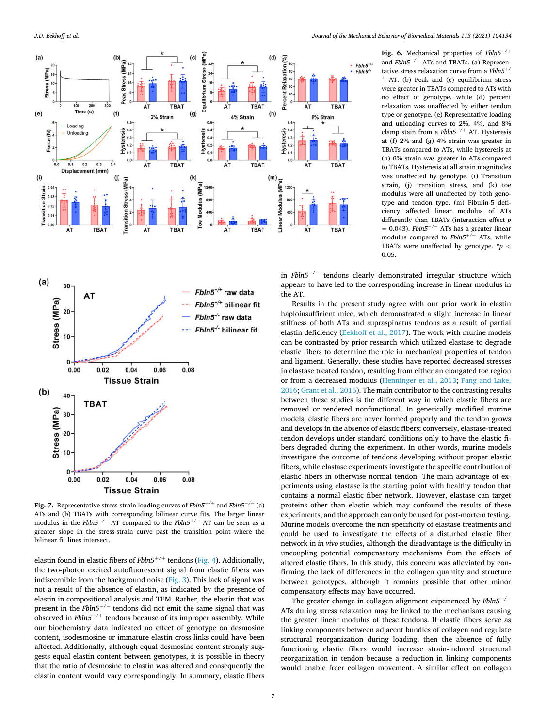<span id="page-6-0"></span>



**Fig. 7.** Representative stress-strain loading curves of *Fbln5*+*/*<sup>+</sup> and *Fbln5*−*/*<sup>−</sup> (a) ATs and (b) TBATs with corresponding bilinear curve fits. The larger linear modulus in the *Fbln5*−*/*<sup>−</sup> AT compared to the *Fbln5*+*/*<sup>+</sup> AT can be seen as a greater slope in the stress-strain curve past the transition point where the bilinear fit lines intersect.

elastin found in elastic fibers of *Fbln5*+*/*<sup>+</sup> tendons ([Fig. 4](#page-5-0)). Additionally, the two-photon excited autofluorescent signal from elastic fibers was indiscernible from the background noise ([Fig. 3](#page-4-0)). This lack of signal was not a result of the absence of elastin, as indicated by the presence of elastin in compositional analysis and TEM. Rather, the elastin that was present in the *Fbln5*−*/*<sup>−</sup> tendons did not emit the same signal that was observed in *Fbln5*+*/*<sup>+</sup> tendons because of its improper assembly. While our biochemistry data indicated no effect of genotype on desmosine content, isodesmosine or immature elastin cross-links could have been affected. Additionally, although equal desmosine content strongly suggests equal elastin content between genotypes, it is possible in theory that the ratio of desmosine to elastin was altered and consequently the elastin content would vary correspondingly. In summary, elastic fibers

**Fig. 6.** Mechanical properties of *Fbln5*+*/*<sup>+</sup> and *Fbln5*−*/*<sup>−</sup> ATs and TBATs. (a) Representative stress relaxation curve from a *Fbln5*+*/*  AT. (b) Peak and (c) equilibrium stress were greater in TBATs compared to ATs with no effect of genotype, while (d) percent relaxation was unaffected by either tendon type or genotype. (e) Representative loading and unloading curves to 2%, 4%, and 8% clamp stain from a *Fbln5*+*/*<sup>+</sup> AT. Hysteresis at (f) 2% and (g) 4% strain was greater in TBATs compared to ATs, while hysteresis at (h) 8% strain was greater in ATs compared to TBATs. Hysteresis at all strain magnitudes was unaffected by genotype. (i) Transition strain, (j) transition stress, and (k) toe modulus were all unaffected by both genotype and tendon type. (m) Fibulin-5 deficiency affected linear modulus of ATs differently than TBATs (interaction effect *p*  = 0.043). *Fbln5*−*/*<sup>−</sup> ATs has a greater linear modulus compared to *Fbln5*+*/*<sup>+</sup> ATs, while TBATs were unaffected by genotype. \**p <* 0.05.

in *Fbln5*−*/*<sup>−</sup> tendons clearly demonstrated irregular structure which appears to have led to the corresponding increase in linear modulus in the AT.

Results in the present study agree with our prior work in elastin haploinsufficient mice, which demonstrated a slight increase in linear stiffness of both ATs and supraspinatus tendons as a result of partial elastin deficiency [\(Eekhoff et al., 2017\)](#page-8-0). The work with murine models can be contrasted by prior research which utilized elastase to degrade elastic fibers to determine the role in mechanical properties of tendon and ligament. Generally, these studies have reported decreased stresses in elastase treated tendon, resulting from either an elongated toe region or from a decreased modulus [\(Henninger et al., 2013](#page-8-0); [Fang and Lake,](#page-8-0)  [2016; Grant et al., 2015\)](#page-8-0). The main contributor to the contrasting results between these studies is the different way in which elastic fibers are removed or rendered nonfunctional. In genetically modified murine models, elastic fibers are never formed properly and the tendon grows and develops in the absence of elastic fibers; conversely, elastase-treated tendon develops under standard conditions only to have the elastic fibers degraded during the experiment. In other words, murine models investigate the outcome of tendons developing without proper elastic fibers, while elastase experiments investigate the specific contribution of elastic fibers in otherwise normal tendon. The main advantage of experiments using elastase is the starting point with healthy tendon that contains a normal elastic fiber network. However, elastase can target proteins other than elastin which may confound the results of these experiments, and the approach can only be used for post-mortem testing. Murine models overcome the non-specificity of elastase treatments and could be used to investigate the effects of a disturbed elastic fiber network in *in vivo* studies, although the disadvantage is the difficulty in uncoupling potential compensatory mechanisms from the effects of altered elastic fibers. In this study, this concern was alleviated by confirming the lack of differences in the collagen quantity and structure between genotypes, although it remains possible that other minor compensatory effects may have occurred.

The greater change in collagen alignment experienced by *Fbln5*−*/*<sup>−</sup> ATs during stress relaxation may be linked to the mechanisms causing the greater linear modulus of these tendons. If elastic fibers serve as linking components between adjacent bundles of collagen and regulate structural reorganization during loading, then the absence of fully functioning elastic fibers would increase strain-induced structural reorganization in tendon because a reduction in linking components would enable freer collagen movement. A similar effect on collagen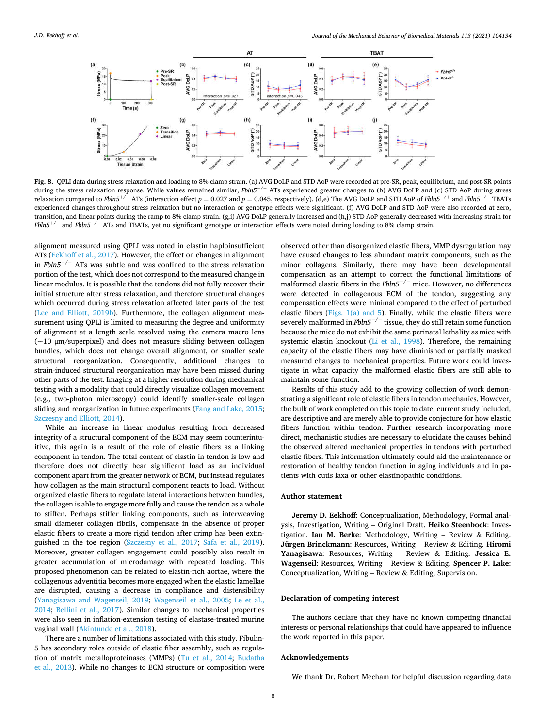<span id="page-7-0"></span>

**Fig. 8.** QPLI data during stress relaxation and loading to 8% clamp strain. (a) AVG DoLP and STD AoP were recorded at pre-SR, peak, equilibrium, and post-SR points during the stress relaxation response. While values remained similar, *Fbln5*−*/*<sup>−</sup> ATs experienced greater changes to (b) AVG DoLP and (c) STD AoP during stress relaxation compared to *Fbln5*+*/*<sup>+</sup> ATs (interaction effect *p* = 0.027 and *p* = 0.045, respectively). (d,e) The AVG DoLP and STD AoP of *Fbln5*+*/*<sup>+</sup> and *Fbln5*−*/*<sup>−</sup> TBATs experienced changes throughout stress relaxation but no interaction or genotype effects were significant. (f) AVG DoLP and STD AoP were also recorded at zero, transition, and linear points during the ramp to 8% clamp strain. (g,i) AVG DoLP generally increased and (h,j) STD AoP generally decreased with increasing strain for *Fbln5*+*/*<sup>+</sup> and *Fbln5*−*/*<sup>−</sup> ATs and TBATs, yet no significant genotype or interaction effects were noted during loading to 8% clamp strain.

alignment measured using QPLI was noted in elastin haploinsufficient ATs [\(Eekhoff et al., 2017\)](#page-8-0). However, the effect on changes in alignment in *Fbln5*−*/*<sup>−</sup> ATs was subtle and was confined to the stress relaxation portion of the test, which does not correspond to the measured change in linear modulus. It is possible that the tendons did not fully recover their initial structure after stress relaxation, and therefore structural changes which occurred during stress relaxation affected later parts of the test ([Lee and Elliott, 2019b\)](#page-8-0). Furthermore, the collagen alignment measurement using QPLI is limited to measuring the degree and uniformity of alignment at a length scale resolved using the camera macro lens (~10 μm/superpixel) and does not measure sliding between collagen bundles, which does not change overall alignment, or smaller scale structural reorganization. Consequently, additional changes to strain-induced structural reorganization may have been missed during other parts of the test. Imaging at a higher resolution during mechanical testing with a modality that could directly visualize collagen movement (e.g., two-photon microscopy) could identify smaller-scale collagen sliding and reorganization in future experiments [\(Fang and Lake, 2015](#page-8-0); [Szczesny and Elliott, 2014\)](#page-8-0).

While an increase in linear modulus resulting from decreased integrity of a structural component of the ECM may seem counterintuitive, this again is a result of the role of elastic fibers as a linking component in tendon. The total content of elastin in tendon is low and therefore does not directly bear significant load as an individual component apart from the greater network of ECM, but instead regulates how collagen as the main structural component reacts to load. Without organized elastic fibers to regulate lateral interactions between bundles, the collagen is able to engage more fully and cause the tendon as a whole to stiffen. Perhaps stiffer linking components, such as interweaving small diameter collagen fibrils, compensate in the absence of proper elastic fibers to create a more rigid tendon after crimp has been extinguished in the toe region [\(Szczesny et al., 2017;](#page-8-0) [Safa et al., 2019](#page-8-0)). Moreover, greater collagen engagement could possibly also result in greater accumulation of microdamage with repeated loading. This proposed phenomenon can be related to elastin-rich aortae, where the collagenous adventitia becomes more engaged when the elastic lamellae are disrupted, causing a decrease in compliance and distensibility ([Yanagisawa and Wagenseil, 2019](#page-9-0); [Wagenseil et al., 2005](#page-9-0); [Le et al.,](#page-8-0)  [2014;](#page-8-0) [Bellini et al., 2017\)](#page-8-0). Similar changes to mechanical properties were also seen in inflation-extension testing of elastase-treated murine vaginal wall [\(Akintunde et al., 2018\)](#page-8-0).

There are a number of limitations associated with this study. Fibulin-5 has secondary roles outside of elastic fiber assembly, such as regulation of matrix metalloproteinases (MMPs) [\(Tu et al., 2014](#page-9-0); [Budatha](#page-8-0)  [et al., 2013](#page-8-0)). While no changes to ECM structure or composition were

observed other than disorganized elastic fibers, MMP dysregulation may have caused changes to less abundant matrix components, such as the minor collagens. Similarly, there may have been developmental compensation as an attempt to correct the functional limitations of malformed elastic fibers in the *Fbln5*−*/*<sup>−</sup> mice. However, no differences were detected in collagenous ECM of the tendon, suggesting any compensation effects were minimal compared to the effect of perturbed elastic fibers [\(Figs. 1\(a\) and 5](#page-3-0)). Finally, while the elastic fibers were severely malformed in *Fbln5*−*/*<sup>−</sup> tissue, they do still retain some function because the mice do not exhibit the same perinatal lethality as mice with systemic elastin knockout ([Li et al., 1998](#page-8-0)). Therefore, the remaining capacity of the elastic fibers may have diminished or partially masked measured changes to mechanical properties. Future work could investigate in what capacity the malformed elastic fibers are still able to maintain some function.

Results of this study add to the growing collection of work demonstrating a significant role of elastic fibers in tendon mechanics. However, the bulk of work completed on this topic to date, current study included, are descriptive and are merely able to provide conjecture for how elastic fibers function within tendon. Further research incorporating more direct, mechanistic studies are necessary to elucidate the causes behind the observed altered mechanical properties in tendons with perturbed elastic fibers. This information ultimately could aid the maintenance or restoration of healthy tendon function in aging individuals and in patients with cutis laxa or other elastinopathic conditions.

#### **Author statement**

**Jeremy D. Eekhoff**: Conceptualization, Methodology, Formal analysis, Investigation, Writing – Original Draft. **Heiko Steenbock**: Investigation. **Ian M. Berke**: Methodology, Writing – Review & Editing. **Jürgen Brinckmann**: Resources, Writing – Review & Editing. **Hiromi Yanagisawa**: Resources, Writing – Review & Editing. **Jessica E. Wagenseil**: Resources, Writing – Review & Editing. **Spencer P. Lake**: Conceptualization, Writing – Review & Editing, Supervision.

# **Declaration of competing interest**

The authors declare that they have no known competing financial interests or personal relationships that could have appeared to influence the work reported in this paper.

## **Acknowledgements**

We thank Dr. Robert Mecham for helpful discussion regarding data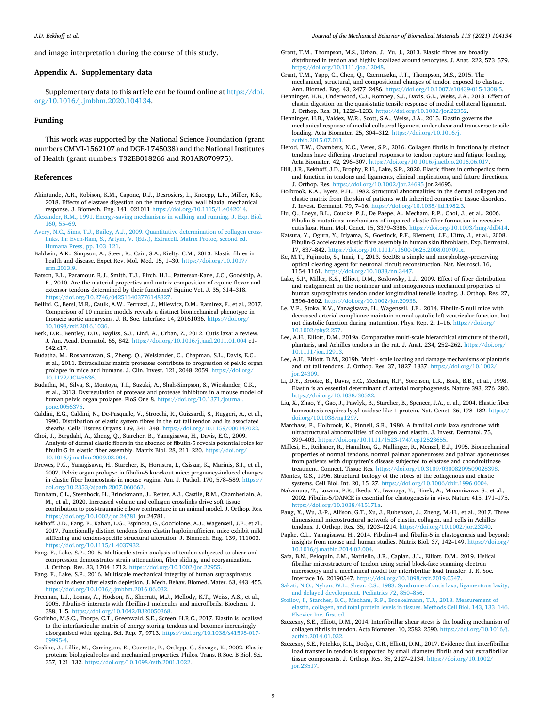<span id="page-8-0"></span>and image interpretation during the course of this study.

# **Appendix A. Supplementary data**

Supplementary data to this article can be found online at [https://doi.](https://doi.org/10.1016/j.jmbbm.2020.104134)  [org/10.1016/j.jmbbm.2020.104134.](https://doi.org/10.1016/j.jmbbm.2020.104134)

#### **Funding**

This work was supported by the National Science Foundation (grant numbers CMMI-1562107 and DGE-1745038) and the National Institutes of Health (grant numbers T32EB018266 and R01AR070975).

#### **References**

- Akintunde, A.R., Robison, K.M., Capone, D.J., Desrosiers, L., Knoepp, L.R., Miller, K.S., 2018. Effects of elastase digestion on the murine vaginal wall biaxial mechanical response. J. Biomech. Eng. 141, 021011 <https://doi.org/10.1115/1.4042014>.
- [Alexander, R.M., 1991. Energy-saving mechanisms in walking and running. J. Exp. Biol.](http://refhub.elsevier.com/S1751-6161(20)30682-2/sref2)  [160, 55](http://refhub.elsevier.com/S1751-6161(20)30682-2/sref2)–69.
- [Avery, N.C., Sims, T.J., Bailey, A.J., 2009. Quantitative determination of collagen cross](http://refhub.elsevier.com/S1751-6161(20)30682-2/sref3)[links. In: Even-Ram, S., Artym, V. \(Eds.\), Extracell. Matrix Protoc, second ed.](http://refhub.elsevier.com/S1751-6161(20)30682-2/sref3)  [Humana Press, pp. 103](http://refhub.elsevier.com/S1751-6161(20)30682-2/sref3)–121.
- Baldwin, A.K., Simpson, A., Steer, R., Cain, S.A., Kielty, C.M., 2013. Elastic fibres in health and disease. Expet Rev. Mol. Med. 15, 1-30. https://doi.org/10.1017 erm. 2013.9.
- Batson, E.L., Paramour, R.J., Smith, T.J., Birch, H.L., Patterson-Kane, J.C., Goodship, A. E., 2010. Are the material properties and matrix composition of equine flexor and extensor tendons determined by their functions? Equine Vet. J. 35, 314–318. [https://doi.org/10.2746/042516403776148327.](https://doi.org/10.2746/042516403776148327)
- Bellini, C., Bersi, M.R., Caulk, A.W., Ferruzzi, J., Milewicz, D.M., Ramirez, F., et al., 2017. Comparison of 10 murine models reveals a distinct biomechanical phenotype in thoracic aortic aneurysms. J. R. Soc. Interface 14, 20161036. [https://doi.org/](https://doi.org/10.1098/rsif.2016.1036)  [10.1098/rsif.2016.1036](https://doi.org/10.1098/rsif.2016.1036).
- Berk, D.R., Bentley, D.D., Bayliss, S.J., Lind, A., Urban, Z., 2012. Cutis laxa: a review. J. Am. Acad. Dermatol. 66, 842. <https://doi.org/10.1016/j.jaad.2011.01.004> e1- 842.e17.
- Budatha, M., Roshanravan, S., Zheng, Q., Weislander, C., Chapman, S.L., Davis, E.C., et al., 2011. Extracellular matrix proteases contribute to progression of pelvic organ prolapse in mice and humans. J. Clin. Invest. 121, 2048–2059. [https://doi.org/](https://doi.org/10.1172/JCI45636) [10.1172/JCI45636](https://doi.org/10.1172/JCI45636).
- Budatha, M., Silva, S., Montoya, T.I., Suzuki, A., Shah-Simpson, S., Wieslander, C.K., et al., 2013. Dysregulation of protease and protease inhibitors in a mouse model of human pelvic organ prolapse. PloS One 8. [https://doi.org/10.1371/journal.](https://doi.org/10.1371/journal.pone.0056376)
- [pone.0056376](https://doi.org/10.1371/journal.pone.0056376). Caldini, E.G., Caldini, N., De-Pasquale, V., Strocchi, R., Guizzardi, S., Ruggeri, A., et al., 1990. Distribution of elastic system fibres in the rat tail tendon and its associated sheaths. Cells Tissues Organs 139, 341–348. [https://doi.org/10.1159/000147022.](https://doi.org/10.1159/000147022)
- Choi, J., Bergdahl, A., Zheng, Q., Starcher, B., Yanagisawa, H., Davis, E.C., 2009. Analysis of dermal elastic fibers in the absence of fibulin-5 reveals potential roles for fibulin-5 in elastic fiber assembly. Matrix Biol. 28, 211–220. [https://doi.org/](https://doi.org/10.1016/j.matbio.2009.03.004) [10.1016/j.matbio.2009.03.004](https://doi.org/10.1016/j.matbio.2009.03.004).
- Drewes, P.G., Yanagisawa, H., Starcher, B., Hornstra, I., Csiszar, K., Marinis, S.I., et al., 2007. Pelvic organ prolapse in fibulin-5 knockout mice: pregnancy-induced changes in elastic fiber homeostasis in mouse vagina. Am. J. Pathol. 170, 578–589. [https://](https://doi.org/10.2353/ajpath.2007.060662)  [doi.org/10.2353/ajpath.2007.060662](https://doi.org/10.2353/ajpath.2007.060662).
- Dunham, C.L., Steenbock, H., Brinckmann, J., Reiter, A.J., Castile, R.M., Chamberlain, A. M., et al., 2020. Increased volume and collagen crosslinks drive soft tissue contribution to post-traumatic elbow contracture in an animal model. J. Orthop. Res. <https://doi.org/10.1002/jor.24781>jor.24781.
- Eekhoff, J.D., Fang, F., Kahan, L.G., Espinosa, G., Cocciolone, A.J., Wagenseil, J.E., et al., 2017. Functionally distinct tendons from elastin haploinsufficient mice exhibit mild stiffening and tendon-specific structural alteration. J. Biomech. Eng. 139, 111003. [https://doi.org/10.1115/1.4037932.](https://doi.org/10.1115/1.4037932)
- Fang, F., Lake, S.P., 2015. Multiscale strain analysis of tendon subjected to shear and compression demonstrates strain attenuation, fiber sliding, and reorganization. J. Orthop. Res. 33, 1704–1712. https://doi.org/10.1002/
- Fang, F., Lake, S.P., 2016. Multiscale mechanical integrity of human supraspinatus tendon in shear after elastin depletion. J. Mech. Behav. Biomed. Mater. 63, 443–455. <https://doi.org/10.1016/j.jmbbm.2016.06.032>.
- Freeman, L.J., Lomas, A., Hodson, N., Sherratt, M.J., Mellody, K.T., Weiss, A.S., et al., 2005. Fibulin-5 interacts with fibrillin-1 molecules and microfibrils. Biochem. J. 388, 1–5. [https://doi.org/10.1042/BJ20050368.](https://doi.org/10.1042/BJ20050368)
- Godinho, M.S.C., Thorpe, C.T., Greenwald, S.E., Screen, H.R.C., 2017. Elastin is localised to the interfascicular matrix of energy storing tendons and becomes increasingly<br>disorganised with ageing. Sci. Rep. 7, 9713. [https://doi.org/10.1038/s41598-017-](https://doi.org/10.1038/s41598-017-09995-4)
- [09995-4](https://doi.org/10.1038/s41598-017-09995-4). Gosline, J., Lillie, M., Carrington, E., Guerette, P., Ortlepp, C., Savage, K., 2002. Elastic proteins: biological roles and mechanical properties. Philos. Trans. R Soc. B Biol. Sci. 357, 121–132. [https://doi.org/10.1098/rstb.2001.1022.](https://doi.org/10.1098/rstb.2001.1022)
- Grant, T.M., Thompson, M.S., Urban, J., Yu, J., 2013. Elastic fibres are broadly distributed in tendon and highly localized around tenocytes. J. Anat. 222, 573–579. [https://doi.org/10.1111/joa.12048.](https://doi.org/10.1111/joa.12048)
- Grant, T.M., Yapp, C., Chen, Q., Czernuszka, J.T., Thompson, M.S., 2015. The mechanical, structural, and compositional changes of tendon exposed to elastase. Ann. Biomed. Eng. 43, 2477–2486. [https://doi.org/10.1007/s10439-015-1308-5.](https://doi.org/10.1007/s10439-015-1308-5)
- Henninger, H.B., Underwood, C.J., Romney, S.J., Davis, G.L., Weiss, J.A., 2013. Effect of elastin digestion on the quasi-static tensile response of medial collateral ligament. J. Orthop. Res. 31, 1226–1233. <https://doi.org/10.1002/jor.22352>.
- Henninger, H.B., Valdez, W.R., Scott, S.A., Weiss, J.A., 2015. Elastin governs the mechanical response of medial collateral ligament under shear and transverse tensile loading. Acta Biomater. 25, 304–312. [https://doi.org/10.1016/j.](https://doi.org/10.1016/j.actbio.2015.07.011) [actbio.2015.07.011.](https://doi.org/10.1016/j.actbio.2015.07.011)
- Herod, T.W., Chambers, N.C., Veres, S.P., 2016. Collagen fibrils in functionally distinct tendons have differing structural responses to tendon rupture and fatigue loading. Acta Biomater. 42, 296–307. <https://doi.org/10.1016/j.actbio.2016.06.017>.
- Hill, J.R., Eekhoff, J.D., Brophy, R.H., Lake, S.P., 2020. Elastic fibers in orthopedics: form and function in tendons and ligaments, clinical implications, and future directions. J. Orthop. Res. <https://doi.org/10.1002/jor.24695>jor.24695.
- Holbrook, K.A., Byers, P.H., 1982. Structural abnormalities in the dermal collagen and elastic matrix from the skin of patients with inherited connective tissue disorders. J. Invest. Dermatol. 79, 7–16. <https://doi.org/10.1038/jid.1982.3>.
- Hu, Q., Loeys, B.L., Coucke, P.J., De Paepe, A., Mecham, R.P., Choi, J., et al., 2006. Fibulin-5 mutations: mechanisms of impaired elastic fiber formation in recessive cutis laxa. Hum. Mol. Genet. 15, 3379–3386. [https://doi.org/10.1093/hmg/ddl414.](https://doi.org/10.1093/hmg/ddl414)
- Katsuta, Y., Ogura, Y., Iriyama, S., Goetinck, P.F., Klement, J.F., Uitto, J., et al., 2008. Fibulin-5 accelerates elastic fibre assembly in human skin fibroblasts. Exp. Dermatol. 17, 837–842.<https://doi.org/10.1111/j.1600-0625.2008.00709.x>.
- Ke, M.T., Fujimoto, S., Imai, T., 2013. SeeDB: a simple and morphology-preserving optical clearing agent for neuronal circuit reconstruction. Nat. Neurosci. 16, 1154–1161. [https://doi.org/10.1038/nn.3447.](https://doi.org/10.1038/nn.3447)
- Lake, S.P., Miller, K.S., Elliott, D.M., Soslowsky, L.J., 2009. Effect of fiber distribution and realignment on the nonlinear and inhomogeneous mechanical properties of human supraspinatus tendon under longitudinal tensile loading. J. Orthop. Res. 27, 1596–1602. [https://doi.org/10.1002/jor.20938.](https://doi.org/10.1002/jor.20938)
- Le, V.P., Stoka, K.V., Yanagisawa, H., Wagenseil, J.E., 2014. Fibulin-5 null mice with decreased arterial compliance maintain normal systolic left ventricular function, but not diastolic function during maturation. Phys. Rep. 2, 1–16. [https://doi.org/](https://doi.org/10.1002/phy2.257) 10.1002/phy
- Lee, A.H., Elliott, D.M., 2019a. Comparative multi-scale hierarchical structure of the tail, plantaris, and Achilles tendons in the rat. J. Anat. 234, 252–262. [https://doi.org/](https://doi.org/10.1111/joa.12913)  [10.1111/joa.12913](https://doi.org/10.1111/joa.12913).
- Lee, A.H., Elliott, D.M., 2019b. Multi scale loading and damage mechanisms of plantaris and rat tail tendons. J. Orthop. Res. 37, 1827–1837. [https://doi.org/10.1002/](https://doi.org/10.1002/jor.24309)  ior.24309
- Li, D.Y., Brooke, B., Davis, E.C., Mecham, R.P., Sorensen, L.K., Boak, B.B., et al., 1998. Elastin is an essential determinant of arterial morphogenesis. Nature 393, 276–280. <https://doi.org/10.1038/30522>.
- Liu, X., Zhao, Y., Gao, J., Pawlyk, B., Starcher, B., Spencer, J.A., et al., 2004. Elastic fiber homeostasis requires lysyl oxidase-like 1 protein. Nat. Genet. 36, 178-182. https:// [doi.org/10.1038/ng1297.](https://doi.org/10.1038/ng1297)
- Marchase, P., Holbrook, K., Pinnell, S.R., 1980. A familial cutis laxa syndrome with ultrastructural abnormalities of collagen and elastin. J. Invest. Dermatol. 75, 399–403. [https://doi.org/10.1111/1523-1747.ep12523655.](https://doi.org/10.1111/1523-1747.ep12523655)
- Millesi, H., Reihsner, R., Hamilton, G., Mallinger, R., Menzel, E.J., 1995. Biomechanical properties of normal tendons, normal palmar aponeuroses and palmar aponeuroses from patients with dupuytren's disease subjected to elastase and chondroitinase treatment. Connect. Tissue Res.<https://doi.org/10.3109/03008209509028398>.

Montes, G.S., 1996. Structural biology of the fibres of the collagenous and elastic systems. Cell Biol. Int. 20, 15–27. [https://doi.org/10.1006/cbir.1996.0004.](https://doi.org/10.1006/cbir.1996.0004)

- Nakamura, T., Lozano, P.R., Ikeda, Y., Iwanaga, Y., Hinek, A., Minamisawa, S., et al., 2002. Fibulin-5/DANCE is essential for elastogenesis in vivo. Nature 415, 171–175. <https://doi.org/10.1038/415171a>.
- Pang, X., Wu, J.-P., Allison, G.T., Xu, J., Rubenson, J., Zheng, M.-H., et al., 2017. Three dimensional microstructural network of elastin, collagen, and cells in Achilles tendons. J. Orthop. Res. 35, 1203–1214. <https://doi.org/10.1002/jor.23240>.
- Papke, C.L., Yanagisawa, H., 2014. Fibulin-4 and fibulin-5 in elastogenesis and beyond: insights from mouse and human studies. Matrix Biol. 37, 142–149. [https://doi.org/](https://doi.org/10.1016/j.matbio.2014.02.004)  [10.1016/j.matbio.2014.02.004](https://doi.org/10.1016/j.matbio.2014.02.004).
- Safa, B.N., Peloquin, J.M., Natriello, J.R., Caplan, J.L., Elliott, D.M., 2019. Helical fibrillar microstructure of tendon using serial block-face scanning electron microscopy and a mechanical model for interfibrillar load transfer. J. R. Soc. Interface 16, 20190547.<https://doi.org/10.1098/rsif.2019.0547>.
- [Sakati, N.O., Nyhan, W.L., Shear, C.S., 1983. Syndrome of cutis laxa, ligamentous laxity,](http://refhub.elsevier.com/S1751-6161(20)30682-2/sref43)  [and delayed development. Pediatrics 72, 850](http://refhub.elsevier.com/S1751-6161(20)30682-2/sref43)–856.
- [Stoilov, I., Starcher, B.C., Mecham, R.P., Broekelmann, T.J., 2018. Measurement of](http://refhub.elsevier.com/S1751-6161(20)30682-2/sref44) [elastin, collagen, and total protein levels in tissues. Methods Cell Biol. 143, 133](http://refhub.elsevier.com/S1751-6161(20)30682-2/sref44)–146. [Elsevier Inc. first ed.](http://refhub.elsevier.com/S1751-6161(20)30682-2/sref44)
- Szczesny, S.E., Elliott, D.M., 2014. Interfibrillar shear stress is the loading mechanism of collagen fibrils in tendon. Acta Biomater. 10, 2582–2590. [https://doi.org/10.1016/j.](https://doi.org/10.1016/j.actbio.2014.01.032)  [actbio.2014.01.032.](https://doi.org/10.1016/j.actbio.2014.01.032)
- Szczesny, S.E., Fetchko, K.L., Dodge, G.R., Elliott, D.M., 2017. Evidence that interfibrillar load transfer in tendon is supported by small diameter fibrils and not extrafibrillar tissue components. J. Orthop. Res. 35, 2127–2134. [https://doi.org/10.1002/](https://doi.org/10.1002/jor.23517)  [jor.23517](https://doi.org/10.1002/jor.23517).